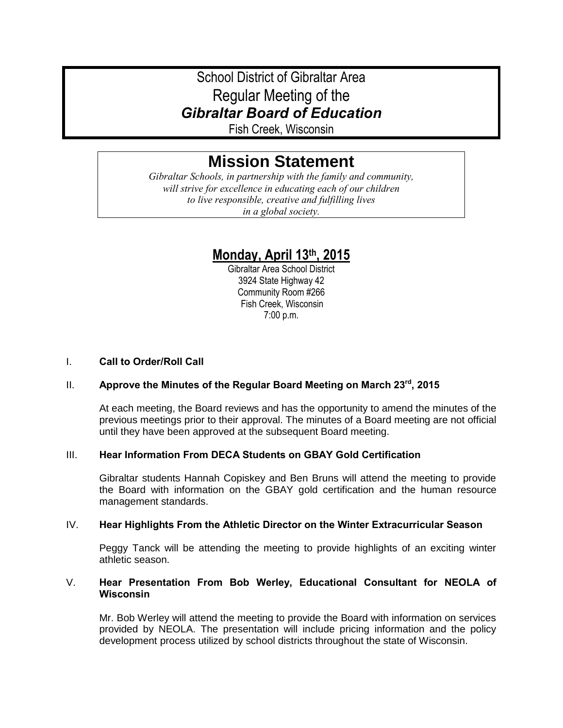## School District of Gibraltar Area Regular Meeting of the *Gibraltar Board of Education*

Fish Creek, Wisconsin

# **Mission Statement**

*Gibraltar Schools, in partnership with the family and community, will strive for excellence in educating each of our children to live responsible, creative and fulfilling lives in a global society.*

## **Monday, April 13th, 2015**

Gibraltar Area School District 3924 State Highway 42 Community Room #266 Fish Creek, Wisconsin 7:00 p.m.

## I. **Call to Order/Roll Call**

## II. **Approve the Minutes of the Regular Board Meeting on March 23rd, 2015**

At each meeting, the Board reviews and has the opportunity to amend the minutes of the previous meetings prior to their approval. The minutes of a Board meeting are not official until they have been approved at the subsequent Board meeting.

## III. **Hear Information From DECA Students on GBAY Gold Certification**

Gibraltar students Hannah Copiskey and Ben Bruns will attend the meeting to provide the Board with information on the GBAY gold certification and the human resource management standards.

## IV. **Hear Highlights From the Athletic Director on the Winter Extracurricular Season**

Peggy Tanck will be attending the meeting to provide highlights of an exciting winter athletic season.

## V. **Hear Presentation From Bob Werley, Educational Consultant for NEOLA of Wisconsin**

Mr. Bob Werley will attend the meeting to provide the Board with information on services provided by NEOLA. The presentation will include pricing information and the policy development process utilized by school districts throughout the state of Wisconsin.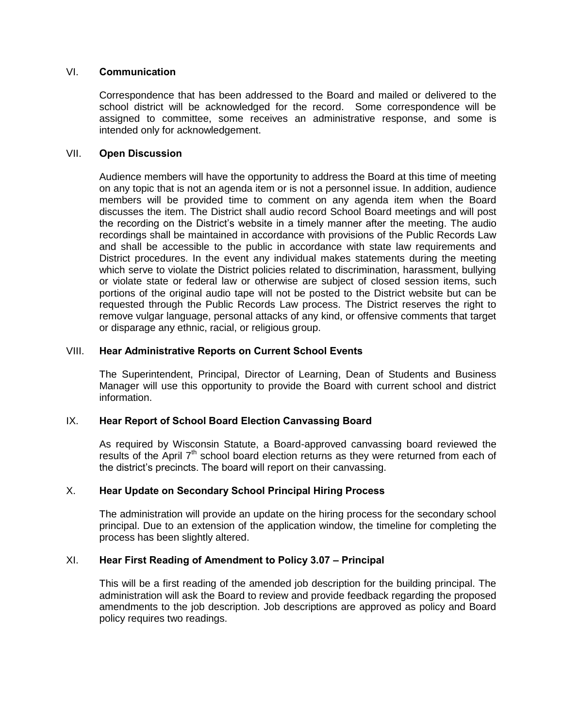#### VI. **Communication**

Correspondence that has been addressed to the Board and mailed or delivered to the school district will be acknowledged for the record. Some correspondence will be assigned to committee, some receives an administrative response, and some is intended only for acknowledgement.

#### VII. **Open Discussion**

Audience members will have the opportunity to address the Board at this time of meeting on any topic that is not an agenda item or is not a personnel issue. In addition, audience members will be provided time to comment on any agenda item when the Board discusses the item. The District shall audio record School Board meetings and will post the recording on the District's website in a timely manner after the meeting. The audio recordings shall be maintained in accordance with provisions of the Public Records Law and shall be accessible to the public in accordance with state law requirements and District procedures. In the event any individual makes statements during the meeting which serve to violate the District policies related to discrimination, harassment, bullying or violate state or federal law or otherwise are subject of closed session items, such portions of the original audio tape will not be posted to the District website but can be requested through the Public Records Law process. The District reserves the right to remove vulgar language, personal attacks of any kind, or offensive comments that target or disparage any ethnic, racial, or religious group.

#### VIII. **Hear Administrative Reports on Current School Events**

The Superintendent, Principal, Director of Learning, Dean of Students and Business Manager will use this opportunity to provide the Board with current school and district information.

## IX. **Hear Report of School Board Election Canvassing Board**

As required by Wisconsin Statute, a Board-approved canvassing board reviewed the results of the April  $7<sup>th</sup>$  school board election returns as they were returned from each of the district's precincts. The board will report on their canvassing.

## X. **Hear Update on Secondary School Principal Hiring Process**

The administration will provide an update on the hiring process for the secondary school principal. Due to an extension of the application window, the timeline for completing the process has been slightly altered.

## XI. **Hear First Reading of Amendment to Policy 3.07 – Principal**

This will be a first reading of the amended job description for the building principal. The administration will ask the Board to review and provide feedback regarding the proposed amendments to the job description. Job descriptions are approved as policy and Board policy requires two readings.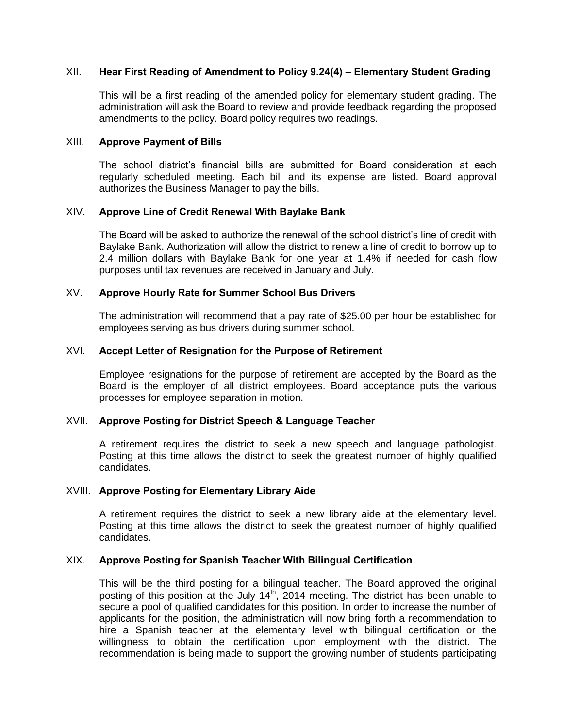#### XII. **Hear First Reading of Amendment to Policy 9.24(4) – Elementary Student Grading**

This will be a first reading of the amended policy for elementary student grading. The administration will ask the Board to review and provide feedback regarding the proposed amendments to the policy. Board policy requires two readings.

#### XIII. **Approve Payment of Bills**

The school district's financial bills are submitted for Board consideration at each regularly scheduled meeting. Each bill and its expense are listed. Board approval authorizes the Business Manager to pay the bills.

#### XIV. **Approve Line of Credit Renewal With Baylake Bank**

The Board will be asked to authorize the renewal of the school district's line of credit with Baylake Bank. Authorization will allow the district to renew a line of credit to borrow up to 2.4 million dollars with Baylake Bank for one year at 1.4% if needed for cash flow purposes until tax revenues are received in January and July.

#### XV. **Approve Hourly Rate for Summer School Bus Drivers**

The administration will recommend that a pay rate of \$25.00 per hour be established for employees serving as bus drivers during summer school.

#### XVI. **Accept Letter of Resignation for the Purpose of Retirement**

Employee resignations for the purpose of retirement are accepted by the Board as the Board is the employer of all district employees. Board acceptance puts the various processes for employee separation in motion.

#### XVII. **Approve Posting for District Speech & Language Teacher**

A retirement requires the district to seek a new speech and language pathologist. Posting at this time allows the district to seek the greatest number of highly qualified candidates.

#### XVIII. **Approve Posting for Elementary Library Aide**

A retirement requires the district to seek a new library aide at the elementary level. Posting at this time allows the district to seek the greatest number of highly qualified candidates.

#### XIX. **Approve Posting for Spanish Teacher With Bilingual Certification**

This will be the third posting for a bilingual teacher. The Board approved the original posting of this position at the July  $14<sup>th</sup>$ , 2014 meeting. The district has been unable to secure a pool of qualified candidates for this position. In order to increase the number of applicants for the position, the administration will now bring forth a recommendation to hire a Spanish teacher at the elementary level with bilingual certification or the willingness to obtain the certification upon employment with the district. The recommendation is being made to support the growing number of students participating